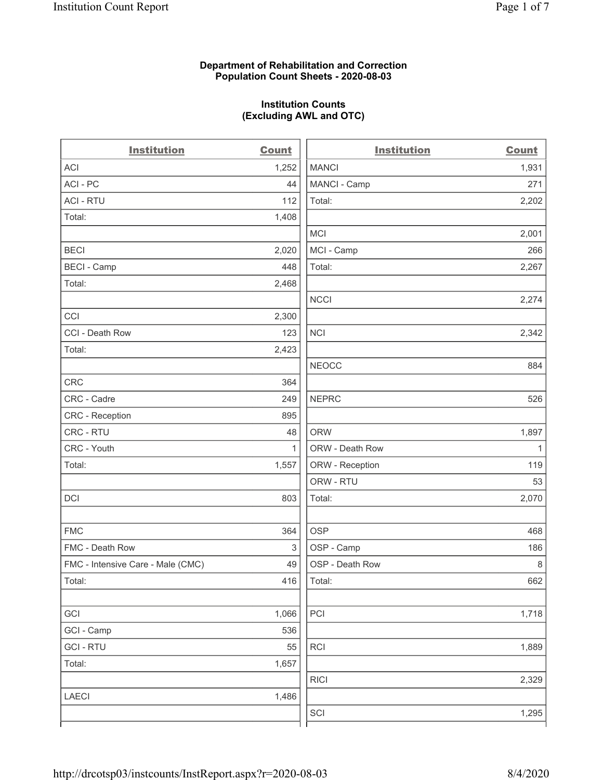#### **Department of Rehabilitation and Correction Population Count Sheets - 2020-08-03**

### **Institution Counts (Excluding AWL and OTC)**

 $\overline{a}$ 

| <b>Institution</b>                | <b>Count</b> | <b>Institution</b> | <b>Count</b> |
|-----------------------------------|--------------|--------------------|--------------|
| <b>ACI</b>                        | 1,252        | <b>MANCI</b>       | 1,931        |
| ACI - PC                          | 44           | MANCI - Camp       | 271          |
| <b>ACI - RTU</b>                  | 112          | Total:             | 2,202        |
| Total:                            | 1,408        |                    |              |
|                                   |              | <b>MCI</b>         | 2,001        |
| <b>BECI</b>                       | 2,020        | MCI - Camp         | 266          |
| <b>BECI - Camp</b>                | 448          | Total:             | 2,267        |
| Total:                            | 2,468        |                    |              |
|                                   |              | <b>NCCI</b>        | 2,274        |
| CCI                               | 2,300        |                    |              |
| CCI - Death Row                   | 123          | <b>NCI</b>         | 2,342        |
| Total:                            | 2,423        |                    |              |
|                                   |              | <b>NEOCC</b>       | 884          |
| <b>CRC</b>                        | 364          |                    |              |
| CRC - Cadre                       | 249          | <b>NEPRC</b>       | 526          |
| CRC - Reception                   | 895          |                    |              |
| CRC - RTU                         | 48           | <b>ORW</b>         | 1,897        |
| CRC - Youth                       | $\mathbf{1}$ | ORW - Death Row    | $\mathbf{1}$ |
| Total:                            | 1,557        | ORW - Reception    | 119          |
|                                   |              | ORW - RTU          | 53           |
| DCI                               | 803          | Total:             | 2,070        |
| <b>FMC</b>                        | 364          | <b>OSP</b>         | 468          |
| FMC - Death Row                   | 3            | OSP - Camp         | 186          |
| FMC - Intensive Care - Male (CMC) | 49           | OSP - Death Row    | 8            |
| Total:                            | 416          | Total:             | 662          |
| GCI                               | 1,066        | PCI                | 1,718        |
| GCI - Camp                        | 536          |                    |              |
| <b>GCI-RTU</b>                    | 55           | <b>RCI</b>         | 1,889        |
| Total:                            | 1,657        |                    |              |
|                                   |              | <b>RICI</b>        | 2,329        |
| <b>LAECI</b>                      | 1,486        |                    |              |
|                                   |              | SCI                | 1,295        |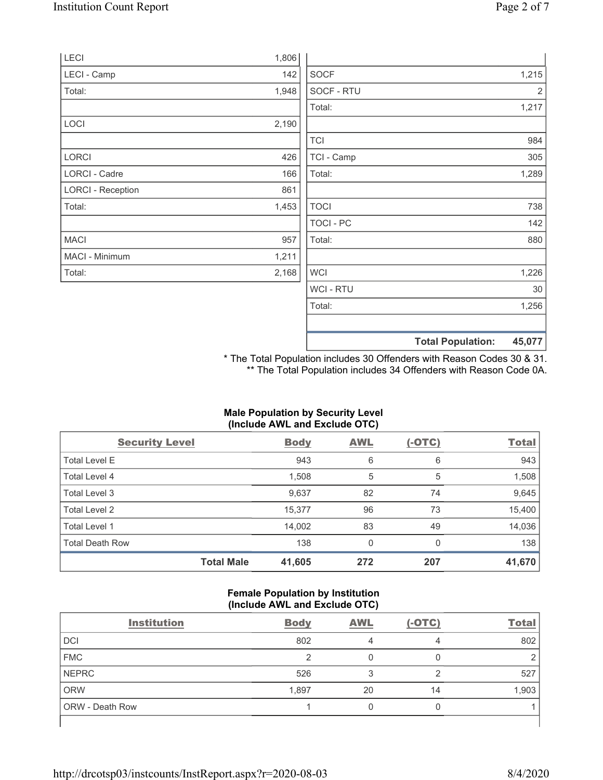Total: 1,453

MACI 957 MACI - Minimum 1,211 Total: 2,168

| <b>LECI</b>              | 1,806 |             |                |
|--------------------------|-------|-------------|----------------|
| LECI - Camp              | 142   | <b>SOCF</b> | 1,215          |
| Total:                   | 1,948 | SOCF - RTU  | $\overline{2}$ |
|                          |       | Total:      | 1,217          |
| <b>LOCI</b>              | 2,190 |             |                |
|                          |       | <b>TCI</b>  | 984            |
| <b>LORCI</b>             | 426   | TCI - Camp  | 305            |
| LORCI - Cadre            | 166   | Total:      | 1,289          |
| <b>LORCI - Reception</b> | 861   |             |                |

TOCI 738 TOCI - PC 142 Total: 880

 $WCI$  1,226 WCI - RTU 30 Total: 1,256

**Total Population: 45,077**

\* The Total Population includes 30 Offenders with Reason Codes 30 & 31. \*\* The Total Population includes 34 Offenders with Reason Code 0A.

### **Male Population by Security Level (Include AWL and Exclude OTC)**

| <b>Security Level</b>  |                   | <b>Body</b> | <b>AWL</b> | $(-OTC)$ | <b>Total</b> |
|------------------------|-------------------|-------------|------------|----------|--------------|
| <b>Total Level E</b>   |                   | 943         | 6          | 6        | 943          |
| Total Level 4          |                   | 1,508       | 5          | 5        | 1,508        |
| Total Level 3          |                   | 9,637       | 82         | 74       | 9,645        |
| Total Level 2          |                   | 15,377      | 96         | 73       | 15,400       |
| Total Level 1          |                   | 14,002      | 83         | 49       | 14,036       |
| <b>Total Death Row</b> |                   | 138         | 0          | 0        | 138          |
|                        | <b>Total Male</b> | 41,605      | 272        | 207      | 41,670       |

#### **Female Population by Institution (Include AWL and Exclude OTC)**

| <b>Institution</b>     | <b>Body</b> | <b>AWL</b> | $(-OTC)$ | <b>Total</b> |
|------------------------|-------------|------------|----------|--------------|
| <b>DCI</b>             | 802         |            | 4        | 802          |
| <b>FMC</b>             |             |            | 0        |              |
| NEPRC                  | 526         |            | റ        | 527          |
| <b>ORW</b>             | 1,897       | 20         | 14       | 1,903        |
| <b>ORW</b> - Death Row |             | 0          | U        |              |
|                        |             |            |          |              |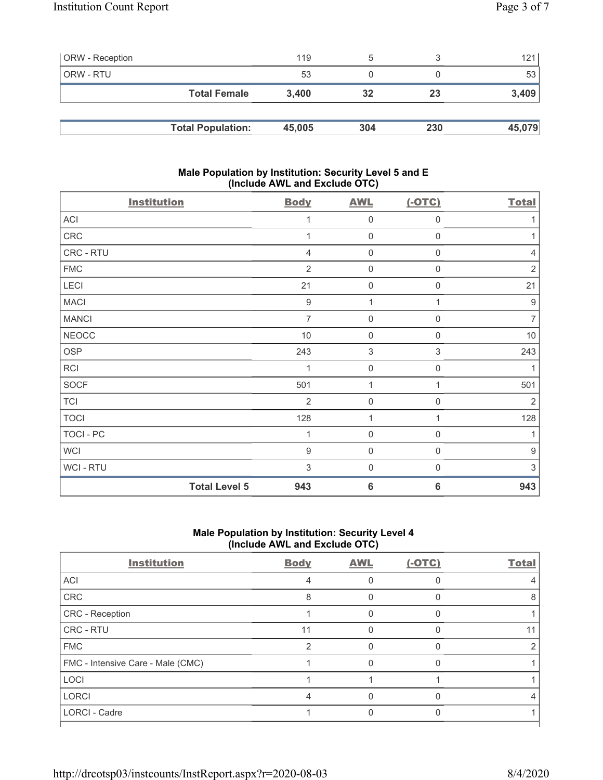| <b>ORW</b> - Reception |                          | 119    | b   |     | 121    |
|------------------------|--------------------------|--------|-----|-----|--------|
| ORW - RTU              |                          | 53     |     |     | 53     |
|                        | <b>Total Female</b>      | 3.400  | 32  | 23  | 3,409  |
|                        |                          |        |     |     |        |
|                        | <b>Total Population:</b> | 45,005 | 304 | 230 | 45,079 |

### **Male Population by Institution: Security Level 5 and E (Include AWL and Exclude OTC)**

| <b>Institution</b>   | <b>Body</b>      | <b>AWL</b>                | $(-OTC)$            | <b>Total</b>     |
|----------------------|------------------|---------------------------|---------------------|------------------|
| ACI                  |                  | $\mathbf 0$               | 0                   | 1                |
| CRC                  |                  | $\mathbf 0$               | 0                   | 1                |
| CRC - RTU            | 4                | $\mathbf 0$               | 0                   | $\sqrt{4}$       |
| <b>FMC</b>           | $\overline{2}$   | $\mathsf 0$               | 0                   | $\sqrt{2}$       |
| LECI                 | 21               | $\mathbf 0$               | 0                   | 21               |
| <b>MACI</b>          | $\boldsymbol{9}$ | 1                         | 1                   | $\boldsymbol{9}$ |
| <b>MANCI</b>         | $\overline{7}$   | $\mathbf 0$               | 0                   | $\overline{7}$   |
| <b>NEOCC</b>         | $10$             | $\mathbf 0$               | $\boldsymbol{0}$    | $10$             |
| OSP                  | 243              | $\ensuremath{\mathsf{3}}$ | 3                   | 243              |
| <b>RCI</b>           | 1                | $\mathbf 0$               | $\boldsymbol{0}$    | 1                |
| SOCF                 | 501              | 1                         | 1                   | 501              |
| <b>TCI</b>           | $\overline{2}$   | $\mathbf 0$               | $\mathsf{O}\xspace$ | $\overline{2}$   |
| <b>TOCI</b>          | 128              | 1                         | 1                   | 128              |
| TOCI - PC            | 1                | $\mathsf{O}\xspace$       | 0                   | 1                |
| <b>WCI</b>           | $9\,$            | $\mathsf 0$               | $\mathbf 0$         | $\boldsymbol{9}$ |
| WCI - RTU            | $\sqrt{3}$       | $\mathsf{O}\xspace$       | $\boldsymbol{0}$    | 3                |
| <b>Total Level 5</b> | 943              | $6\phantom{1}6$           | $6\phantom{1}6$     | 943              |

# **Male Population by Institution: Security Level 4 (Include AWL and Exclude OTC)**

| <b>Institution</b>                | <b>Body</b> | <b>AWL</b> | $(-OTC)$ | <b>Total</b> |
|-----------------------------------|-------------|------------|----------|--------------|
| <b>ACI</b>                        | 4           |            |          |              |
| CRC                               | 8           |            |          | 8            |
| <b>CRC</b> - Reception            |             |            |          |              |
| <b>CRC - RTU</b>                  | 11          |            |          |              |
| <b>FMC</b>                        | 2           |            |          |              |
| FMC - Intensive Care - Male (CMC) |             |            |          |              |
| LOCI                              |             |            |          |              |
| <b>LORCI</b>                      | 4           |            |          |              |
| <b>LORCI - Cadre</b>              |             |            |          |              |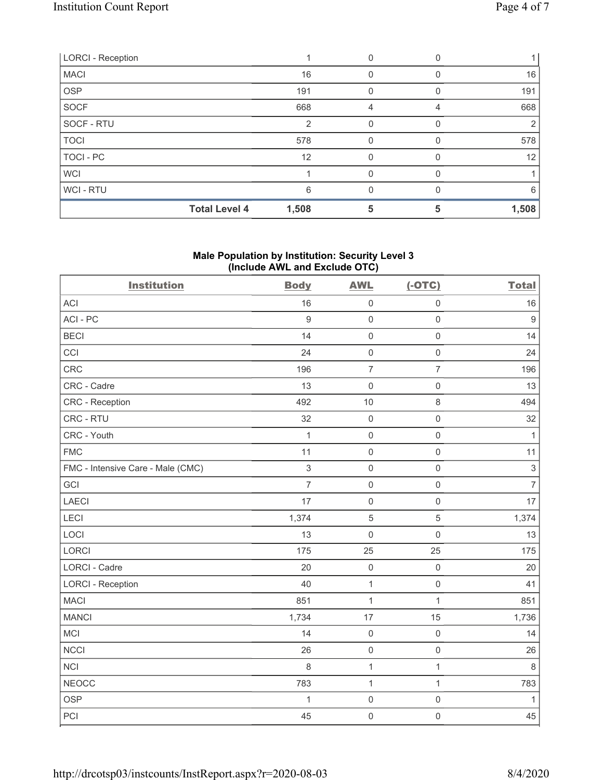| <b>LORCI - Reception</b> |       |   |   |       |
|--------------------------|-------|---|---|-------|
| <b>MACI</b>              | 16    | 0 |   | 16    |
| <b>OSP</b>               | 191   | 0 |   | 191   |
| SOCF                     | 668   | 4 |   | 668   |
| SOCF - RTU               | 2     |   |   |       |
| <b>TOCI</b>              | 578   | 0 |   | 578   |
| TOCI - PC                | 12    | 0 |   | 12    |
| <b>WCI</b>               |       |   |   |       |
| WCI-RTU                  | 6     | O |   | 6     |
| <b>Total Level 4</b>     | 1,508 | 5 | 5 | 1,508 |

### **Male Population by Institution: Security Level 3 (Include AWL and Exclude OTC)**

| <b>Institution</b>                | <b>Body</b>    | <b>AWL</b>          | $(-OTC)$            | <b>Total</b>   |
|-----------------------------------|----------------|---------------------|---------------------|----------------|
| <b>ACI</b>                        | 16             | $\mathsf{O}\xspace$ | $\mathsf{O}\xspace$ | 16             |
| ACI-PC                            | $\overline{9}$ | $\mathbf 0$         | $\mathsf{O}\xspace$ | $9\,$          |
| <b>BECI</b>                       | 14             | $\mathbf 0$         | $\mathsf{O}\xspace$ | 14             |
| CCI                               | 24             | $\mathbf 0$         | $\mathsf{O}\xspace$ | 24             |
| CRC                               | 196            | $\overline{7}$      | $\overline{7}$      | 196            |
| CRC - Cadre                       | 13             | $\mathbf 0$         | $\mathbf 0$         | 13             |
| <b>CRC</b> - Reception            | 492            | 10                  | $\,8\,$             | 494            |
| CRC - RTU                         | 32             | $\mathbf 0$         | $\mathsf{O}\xspace$ | 32             |
| CRC - Youth                       | $\mathbf 1$    | $\mathbf 0$         | $\mathsf{O}\xspace$ | $\mathbf{1}$   |
| <b>FMC</b>                        | 11             | $\mathbf 0$         | $\mathbf 0$         | 11             |
| FMC - Intensive Care - Male (CMC) | 3              | $\mathbf 0$         | $\mathsf 0$         | $\sqrt{3}$     |
| GCI                               | $\overline{7}$ | $\mathsf{O}\xspace$ | $\mathsf 0$         | $\overline{7}$ |
| <b>LAECI</b>                      | 17             | $\mathbf 0$         | $\mathbf 0$         | 17             |
| LECI                              | 1,374          | 5                   | $\sqrt{5}$          | 1,374          |
| LOCI                              | 13             | $\mathsf{O}\xspace$ | $\mathsf{O}\xspace$ | 13             |
| <b>LORCI</b>                      | 175            | 25                  | 25                  | 175            |
| LORCI - Cadre                     | 20             | $\mathbf 0$         | $\mathsf{O}\xspace$ | 20             |
| <b>LORCI - Reception</b>          | 40             | $\mathbf 1$         | $\mathbf 0$         | 41             |
| <b>MACI</b>                       | 851            | $\mathbf{1}$        | $\mathbf{1}$        | 851            |
| <b>MANCI</b>                      | 1,734          | 17                  | 15                  | 1,736          |
| MCI                               | 14             | $\mathsf{O}\xspace$ | $\mathbf 0$         | 14             |
| <b>NCCI</b>                       | 26             | $\mathsf{O}$        | $\mathbf 0$         | 26             |
| <b>NCI</b>                        | 8              | $\mathbf{1}$        | $\mathbf{1}$        | $\,8\,$        |
| <b>NEOCC</b>                      | 783            | $\mathbf{1}$        | $\mathbf{1}$        | 783            |
| <b>OSP</b>                        | $\mathbf 1$    | $\mathsf{O}$        | $\mathsf{O}\xspace$ | $\mathbf{1}$   |
| PCI                               | 45             | $\mathbf 0$         | $\mathsf 0$         | 45             |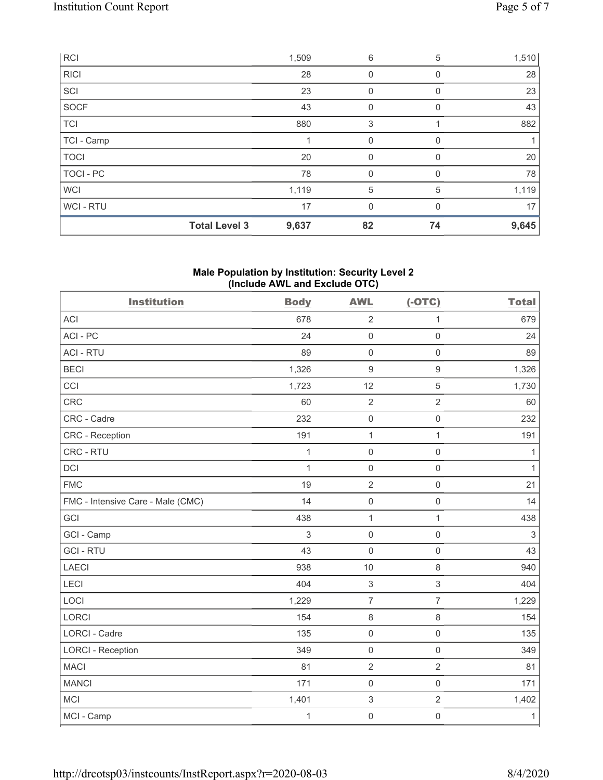|             | <b>Total Level 3</b> | 9,637 | 82          | 74       | 9,645 |
|-------------|----------------------|-------|-------------|----------|-------|
| WCI-RTU     |                      | 17    | 0           |          | 17    |
| <b>WCI</b>  |                      | 1,119 | 5           | 5        | 1,119 |
| TOCI - PC   |                      | 78    | 0           | 0        | 78    |
| <b>TOCI</b> |                      | 20    | $\mathbf 0$ | $\Omega$ | 20    |
| TCI - Camp  |                      |       | $\mathbf 0$ | 0        | 1     |
| <b>TCI</b>  |                      | 880   | 3           |          | 882   |
| SOCF        |                      | 43    | 0           | 0        | 43    |
| SCI         |                      | 23    | 0           | 0        | 23    |
| <b>RICI</b> |                      | 28    | 0           | 0        | 28    |
| <b>RCI</b>  |                      | 1,509 | 6           | 5        | 1,510 |

### **Male Population by Institution: Security Level 2 (Include AWL and Exclude OTC)**

| <b>Institution</b>                | <b>Body</b>  | <b>AWL</b>          | $(-OTC)$            | <b>Total</b>              |
|-----------------------------------|--------------|---------------------|---------------------|---------------------------|
| <b>ACI</b>                        | 678          | $\overline{2}$      | 1                   | 679                       |
| ACI-PC                            | 24           | $\mathsf 0$         | $\mathsf 0$         | 24                        |
| <b>ACI - RTU</b>                  | 89           | $\mathsf 0$         | $\mathsf{O}\xspace$ | 89                        |
| <b>BECI</b>                       | 1,326        | $\boldsymbol{9}$    | $\boldsymbol{9}$    | 1,326                     |
| CCI                               | 1,723        | 12                  | $\mathbf 5$         | 1,730                     |
| CRC                               | 60           | $\sqrt{2}$          | $\overline{2}$      | 60                        |
| CRC - Cadre                       | 232          | $\mathsf 0$         | $\mathbf 0$         | 232                       |
| CRC - Reception                   | 191          | $\mathbf{1}$        | $\mathbf{1}$        | 191                       |
| CRC - RTU                         | $\mathbf{1}$ | $\mathsf 0$         | $\mathsf 0$         | $\mathbf{1}$              |
| <b>DCI</b>                        | $\mathbf{1}$ | $\mathsf 0$         | $\mathsf 0$         | $\mathbf{1}$              |
| <b>FMC</b>                        | 19           | $\sqrt{2}$          | $\mathsf{O}\xspace$ | 21                        |
| FMC - Intensive Care - Male (CMC) | 14           | $\mathsf{O}\xspace$ | $\mathsf{O}\xspace$ | 14                        |
| GCI                               | 438          | $\mathbf{1}$        | $\mathbf{1}$        | 438                       |
| GCI - Camp                        | 3            | $\mathsf 0$         | $\mathsf{O}\xspace$ | $\ensuremath{\mathsf{3}}$ |
| <b>GCI-RTU</b>                    | 43           | $\mathbf 0$         | $\mathsf{O}\xspace$ | 43                        |
| LAECI                             | 938          | $10$                | 8                   | 940                       |
| LECI                              | 404          | $\,$ 3 $\,$         | $\,$ 3 $\,$         | 404                       |
| LOCI                              | 1,229        | $\overline{7}$      | $\overline{7}$      | 1,229                     |
| <b>LORCI</b>                      | 154          | $\,8\,$             | 8                   | 154                       |
| <b>LORCI - Cadre</b>              | 135          | $\mathsf 0$         | $\mathsf{O}\xspace$ | 135                       |
| <b>LORCI - Reception</b>          | 349          | $\mathsf 0$         | $\mathbf 0$         | 349                       |
| <b>MACI</b>                       | 81           | $\sqrt{2}$          | $\mathbf{2}$        | 81                        |
| <b>MANCI</b>                      | 171          | $\mathsf 0$         | $\mathsf{O}\xspace$ | 171                       |
| <b>MCI</b>                        | 1,401        | $\,$ 3 $\,$         | $\overline{2}$      | 1,402                     |
| MCI - Camp                        | 1            | $\mathsf{O}\xspace$ | $\mathsf{O}\xspace$ | $\mathbf{1}$              |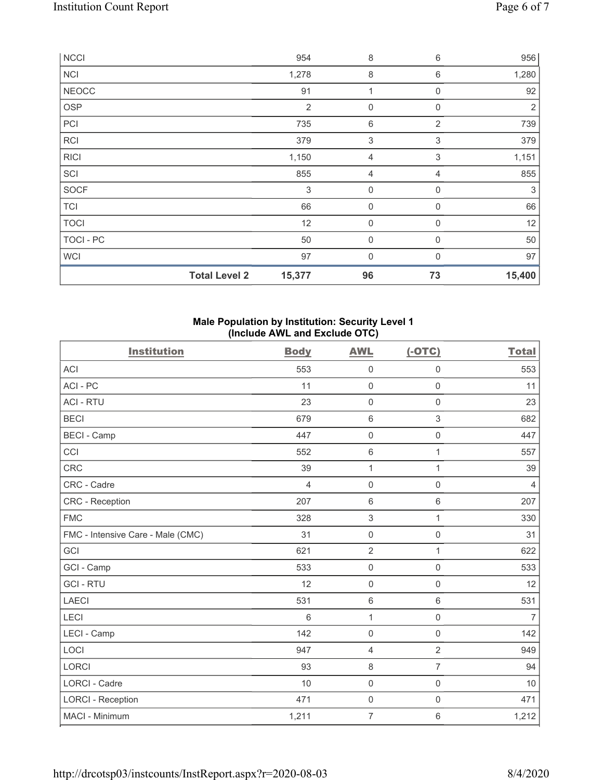| NCCI         |                      | 954            | 8           | 6                         | 956            |
|--------------|----------------------|----------------|-------------|---------------------------|----------------|
| <b>NCI</b>   |                      | 1,278          | 8           | 6                         | 1,280          |
| <b>NEOCC</b> |                      | 91             | 1           | $\mathbf 0$               | 92             |
| <b>OSP</b>   |                      | $\overline{2}$ | $\mathbf 0$ | $\mathbf 0$               | $\overline{2}$ |
| PCI          |                      | 735            | 6           | $\overline{2}$            | 739            |
| RCI          |                      | 379            | $\sqrt{3}$  | $\ensuremath{\mathsf{3}}$ | 379            |
| <b>RICI</b>  |                      | 1,150          | 4           | 3                         | 1,151          |
| SCI          |                      | 855            | 4           | 4                         | 855            |
| SOCF         |                      | 3              | $\mathbf 0$ | 0                         | 3              |
| <b>TCI</b>   |                      | 66             | $\mathbf 0$ | $\mathbf{0}$              | 66             |
| <b>TOCI</b>  |                      | 12             | $\mathbf 0$ | $\mathbf 0$               | 12             |
| TOCI - PC    |                      | 50             | $\mathbf 0$ | $\mathbf 0$               | 50             |
| <b>WCI</b>   |                      | 97             | $\mathbf 0$ | 0                         | 97             |
|              | <b>Total Level 2</b> | 15,377         | 96          | 73                        | 15,400         |

## **Male Population by Institution: Security Level 1 (Include AWL and Exclude OTC)**

| <b>Institution</b>                | <b>Body</b>    | <b>AWL</b>          | $(-OTC)$            | <b>Total</b>   |
|-----------------------------------|----------------|---------------------|---------------------|----------------|
| <b>ACI</b>                        | 553            | $\mathbf 0$         | $\mathsf 0$         | 553            |
| ACI-PC                            | 11             | $\mathsf{O}\xspace$ | $\mathbf 0$         | 11             |
| <b>ACI - RTU</b>                  | 23             | $\mathsf{O}\xspace$ | $\mathsf 0$         | 23             |
| <b>BECI</b>                       | 679            | $\,6\,$             | 3                   | 682            |
| <b>BECI - Camp</b>                | 447            | $\mathbf 0$         | $\mathbf 0$         | 447            |
| CCI                               | 552            | $\,6\,$             | 1                   | 557            |
| <b>CRC</b>                        | 39             | 1                   | 1                   | 39             |
| CRC - Cadre                       | $\overline{4}$ | $\mathsf{O}\xspace$ | $\mathsf{O}\xspace$ | $\overline{4}$ |
| <b>CRC</b> - Reception            | 207            | $\,6\,$             | 6                   | 207            |
| <b>FMC</b>                        | 328            | $\,$ 3 $\,$         | 1                   | 330            |
| FMC - Intensive Care - Male (CMC) | 31             | $\mathsf{O}\xspace$ | $\mathsf 0$         | 31             |
| GCI                               | 621            | $\overline{2}$      | 1                   | 622            |
| GCI - Camp                        | 533            | $\mathsf{O}\xspace$ | $\mathsf{O}\xspace$ | 533            |
| <b>GCI-RTU</b>                    | 12             | $\mathbf 0$         | $\mathsf 0$         | 12             |
| <b>LAECI</b>                      | 531            | $\,6\,$             | $\,6\,$             | 531            |
| LECI                              | 6              | $\mathbf{1}$        | $\mathsf{O}\xspace$ | $\overline{7}$ |
| LECI - Camp                       | 142            | $\mathbf 0$         | $\mathsf 0$         | 142            |
| LOCI                              | 947            | $\overline{4}$      | $\overline{2}$      | 949            |
| <b>LORCI</b>                      | 93             | $\,8\,$             | $\overline{7}$      | 94             |
| LORCI - Cadre                     | 10             | $\mathbf 0$         | $\mathsf{O}\xspace$ | 10             |
| <b>LORCI - Reception</b>          | 471            | $\mathsf{O}\xspace$ | $\mathsf{O}\xspace$ | 471            |
| MACI - Minimum                    | 1,211          | $\overline{7}$      | 6                   | 1,212          |